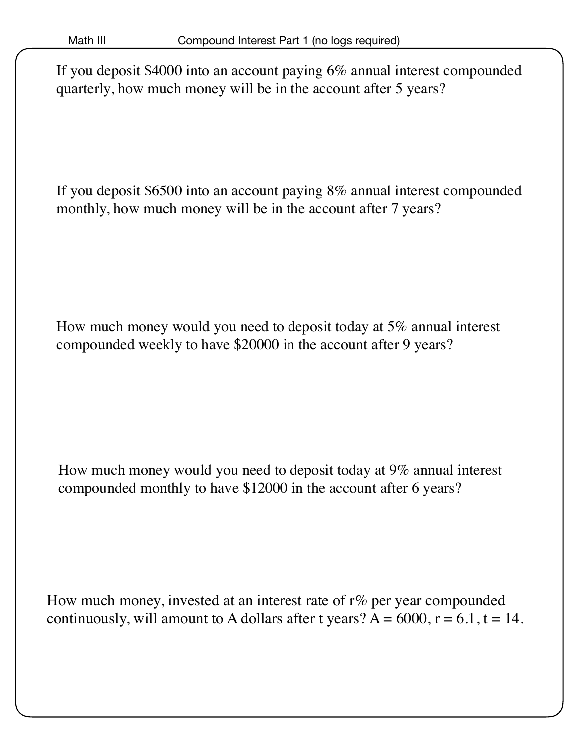If you deposit \$4000 into an account paying 6% annual interest compounded quarterly, how much money will be in the account after 5 years?

If you deposit \$6500 into an account paying 8% annual interest compounded monthly, how much money will be in the account after 7 years?

How much money would you need to deposit today at 5% annual interest compounded weekly to have \$20000 in the account after 9 years?

How much money would you need to deposit today at 9% annual interest compounded monthly to have \$12000 in the account after 6 years?

How much money, invested at an interest rate of r% per year compounded continuously, will amount to A dollars after t years?  $A = 6000$ ,  $r = 6.1$ ,  $t = 14$ .